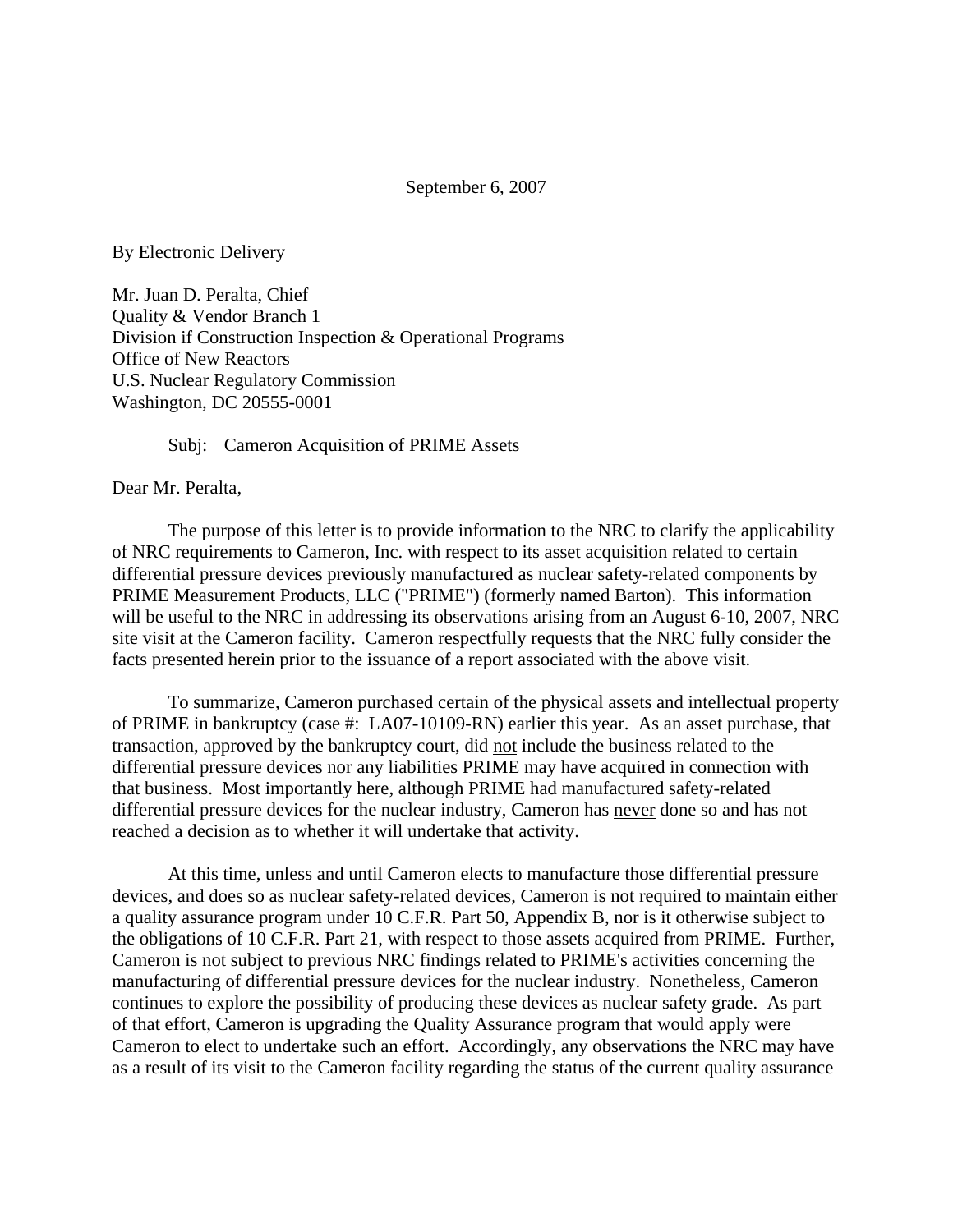#### September 6, 2007

By Electronic Delivery

Mr. Juan D. Peralta, Chief Quality & Vendor Branch 1 Division if Construction Inspection & Operational Programs Office of New Reactors U.S. Nuclear Regulatory Commission Washington, DC 20555-0001

Subj: Cameron Acquisition of PRIME Assets

Dear Mr. Peralta,

The purpose of this letter is to provide information to the NRC to clarify the applicability of NRC requirements to Cameron, Inc. with respect to its asset acquisition related to certain differential pressure devices previously manufactured as nuclear safety-related components by PRIME Measurement Products, LLC ("PRIME") (formerly named Barton). This information will be useful to the NRC in addressing its observations arising from an August 6-10, 2007, NRC site visit at the Cameron facility. Cameron respectfully requests that the NRC fully consider the facts presented herein prior to the issuance of a report associated with the above visit.

To summarize, Cameron purchased certain of the physical assets and intellectual property of PRIME in bankruptcy (case #: LA07-10109-RN) earlier this year. As an asset purchase, that transaction, approved by the bankruptcy court, did not include the business related to the differential pressure devices nor any liabilities PRIME may have acquired in connection with that business. Most importantly here, although PRIME had manufactured safety-related differential pressure devices for the nuclear industry, Cameron has never done so and has not reached a decision as to whether it will undertake that activity.

At this time, unless and until Cameron elects to manufacture those differential pressure devices, and does so as nuclear safety-related devices, Cameron is not required to maintain either a quality assurance program under 10 C.F.R. Part 50, Appendix B, nor is it otherwise subject to the obligations of 10 C.F.R. Part 21, with respect to those assets acquired from PRIME. Further, Cameron is not subject to previous NRC findings related to PRIME's activities concerning the manufacturing of differential pressure devices for the nuclear industry. Nonetheless, Cameron continues to explore the possibility of producing these devices as nuclear safety grade. As part of that effort, Cameron is upgrading the Quality Assurance program that would apply were Cameron to elect to undertake such an effort. Accordingly, any observations the NRC may have as a result of its visit to the Cameron facility regarding the status of the current quality assurance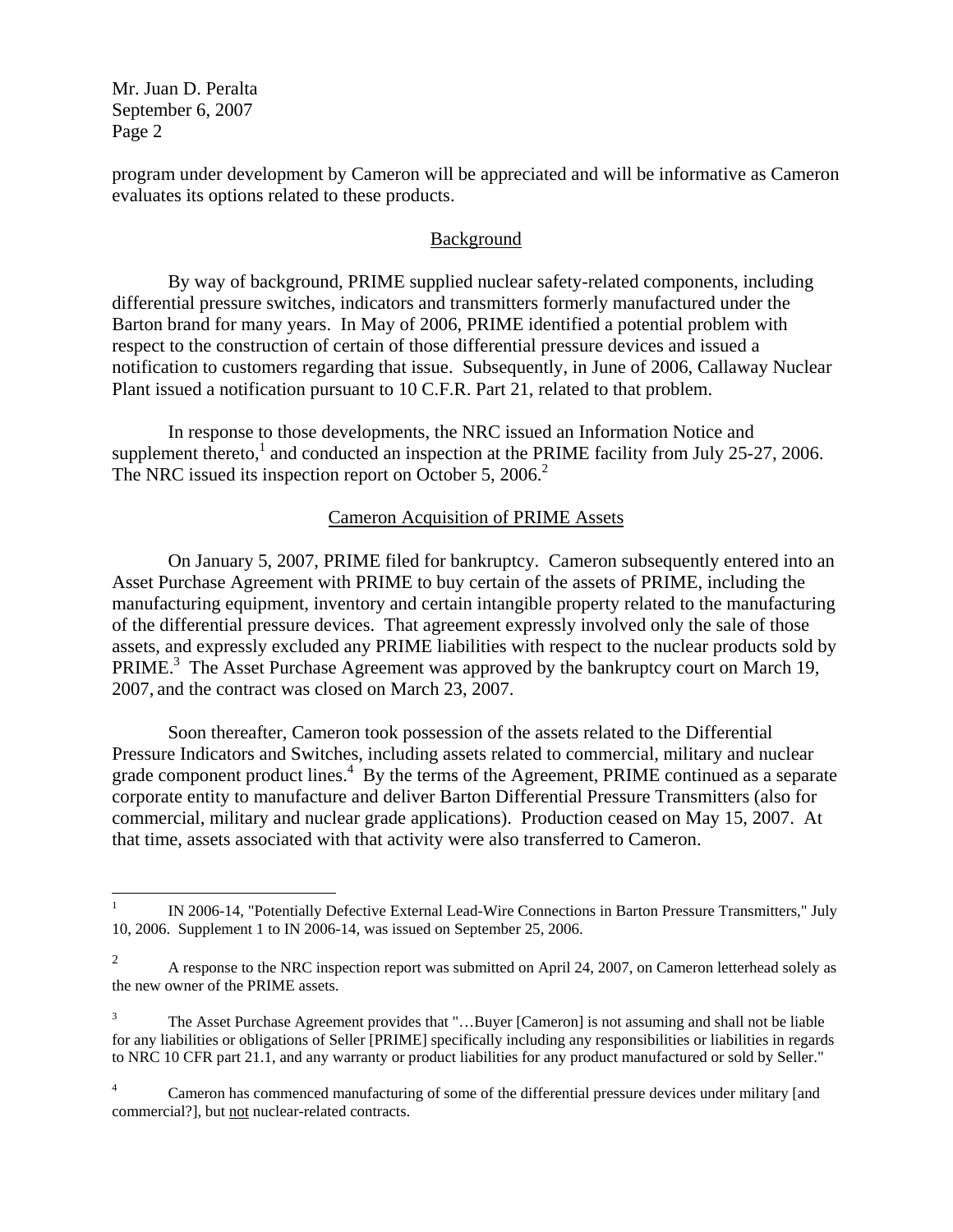Mr. Juan D. Peralta September 6, 2007 Page 2

program under development by Cameron will be appreciated and will be informative as Cameron evaluates its options related to these products.

# **Background**

By way of background, PRIME supplied nuclear safety-related components, including differential pressure switches, indicators and transmitters formerly manufactured under the Barton brand for many years. In May of 2006, PRIME identified a potential problem with respect to the construction of certain of those differential pressure devices and issued a notification to customers regarding that issue. Subsequently, in June of 2006, Callaway Nuclear Plant issued a notification pursuant to 10 C.F.R. Part 21, related to that problem.

In response to those developments, the NRC issued an Information Notice and supplement thereto,<sup>1</sup> and conducted an inspection at the PRIME facility from July 25-27, 2006. The NRC issued its inspection report on October 5, 2006.<sup>2</sup>

## Cameron Acquisition of PRIME Assets

On January 5, 2007, PRIME filed for bankruptcy. Cameron subsequently entered into an Asset Purchase Agreement with PRIME to buy certain of the assets of PRIME, including the manufacturing equipment, inventory and certain intangible property related to the manufacturing of the differential pressure devices. That agreement expressly involved only the sale of those assets, and expressly excluded any PRIME liabilities with respect to the nuclear products sold by PRIME.<sup>3</sup> The Asset Purchase Agreement was approved by the bankruptcy court on March 19, 2007, and the contract was closed on March 23, 2007.

Soon thereafter, Cameron took possession of the assets related to the Differential Pressure Indicators and Switches, including assets related to commercial, military and nuclear grade component product lines.<sup>4</sup> By the terms of the Agreement, PRIME continued as a separate corporate entity to manufacture and deliver Barton Differential Pressure Transmitters (also for commercial, military and nuclear grade applications). Production ceased on May 15, 2007. At that time, assets associated with that activity were also transferred to Cameron.

 $\frac{1}{1}$  IN 2006-14, "Potentially Defective External Lead-Wire Connections in Barton Pressure Transmitters," July 10, 2006. Supplement 1 to IN 2006-14, was issued on September 25, 2006.

<sup>2</sup> A response to the NRC inspection report was submitted on April 24, 2007, on Cameron letterhead solely as the new owner of the PRIME assets.

<sup>3</sup> The Asset Purchase Agreement provides that "…Buyer [Cameron] is not assuming and shall not be liable for any liabilities or obligations of Seller [PRIME] specifically including any responsibilities or liabilities in regards to NRC 10 CFR part 21.1, and any warranty or product liabilities for any product manufactured or sold by Seller."

<sup>4</sup> Cameron has commenced manufacturing of some of the differential pressure devices under military [and commercial?], but not nuclear-related contracts.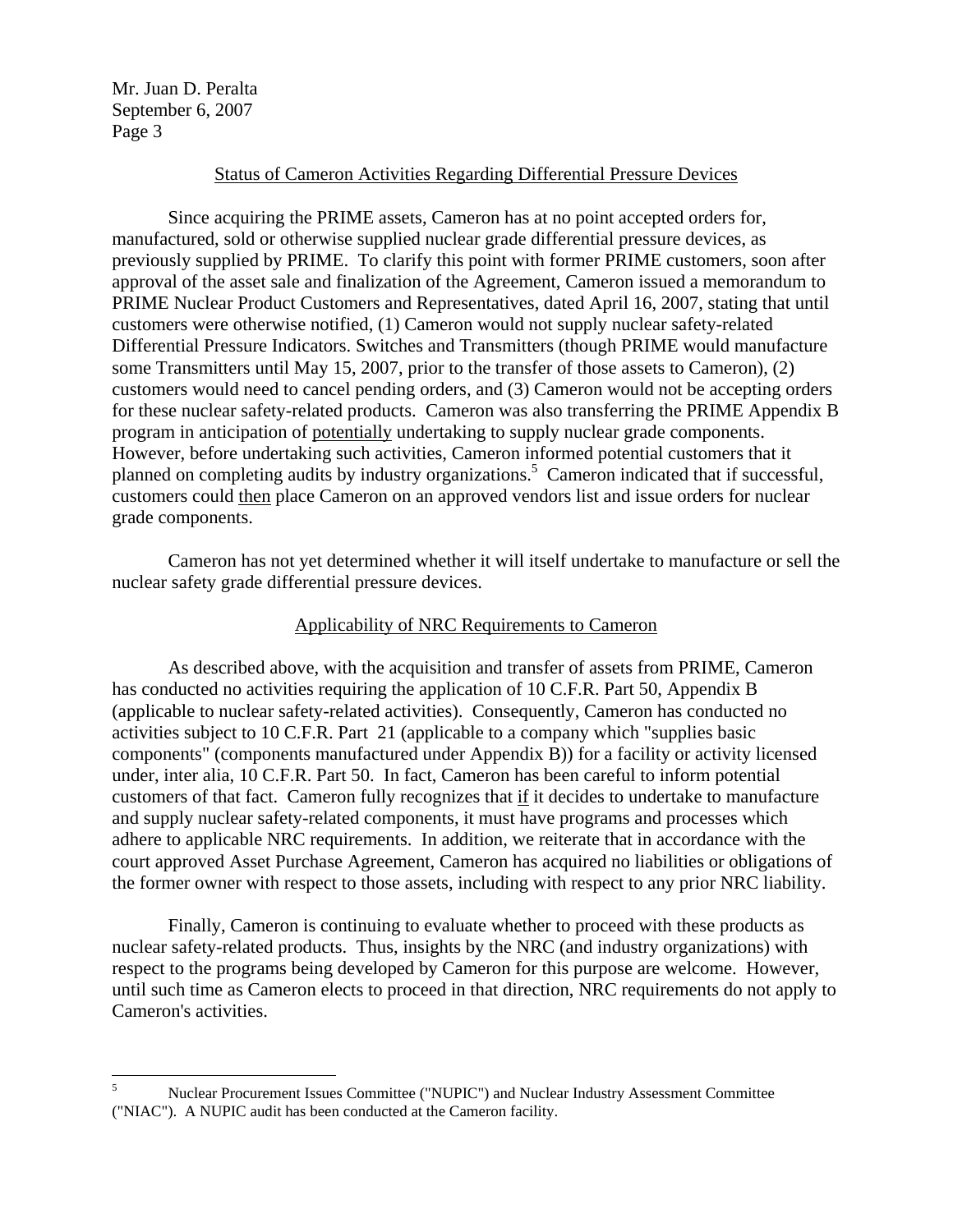Mr. Juan D. Peralta September 6, 2007 Page 3

#### Status of Cameron Activities Regarding Differential Pressure Devices

Since acquiring the PRIME assets, Cameron has at no point accepted orders for, manufactured, sold or otherwise supplied nuclear grade differential pressure devices, as previously supplied by PRIME. To clarify this point with former PRIME customers, soon after approval of the asset sale and finalization of the Agreement, Cameron issued a memorandum to PRIME Nuclear Product Customers and Representatives, dated April 16, 2007, stating that until customers were otherwise notified, (1) Cameron would not supply nuclear safety-related Differential Pressure Indicators. Switches and Transmitters (though PRIME would manufacture some Transmitters until May 15, 2007, prior to the transfer of those assets to Cameron), (2) customers would need to cancel pending orders, and (3) Cameron would not be accepting orders for these nuclear safety-related products. Cameron was also transferring the PRIME Appendix B program in anticipation of potentially undertaking to supply nuclear grade components. However, before undertaking such activities, Cameron informed potential customers that it planned on completing audits by industry organizations.<sup>5</sup> Cameron indicated that if successful, customers could then place Cameron on an approved vendors list and issue orders for nuclear grade components.

Cameron has not yet determined whether it will itself undertake to manufacture or sell the nuclear safety grade differential pressure devices.

### Applicability of NRC Requirements to Cameron

As described above, with the acquisition and transfer of assets from PRIME, Cameron has conducted no activities requiring the application of 10 C.F.R. Part 50, Appendix B (applicable to nuclear safety-related activities). Consequently, Cameron has conducted no activities subject to 10 C.F.R. Part 21 (applicable to a company which "supplies basic components" (components manufactured under Appendix B)) for a facility or activity licensed under, inter alia, 10 C.F.R. Part 50. In fact, Cameron has been careful to inform potential customers of that fact. Cameron fully recognizes that if it decides to undertake to manufacture and supply nuclear safety-related components, it must have programs and processes which adhere to applicable NRC requirements. In addition, we reiterate that in accordance with the court approved Asset Purchase Agreement, Cameron has acquired no liabilities or obligations of the former owner with respect to those assets, including with respect to any prior NRC liability.

Finally, Cameron is continuing to evaluate whether to proceed with these products as nuclear safety-related products. Thus, insights by the NRC (and industry organizations) with respect to the programs being developed by Cameron for this purpose are welcome. However, until such time as Cameron elects to proceed in that direction, NRC requirements do not apply to Cameron's activities.

 5 Nuclear Procurement Issues Committee ("NUPIC") and Nuclear Industry Assessment Committee ("NIAC"). A NUPIC audit has been conducted at the Cameron facility.